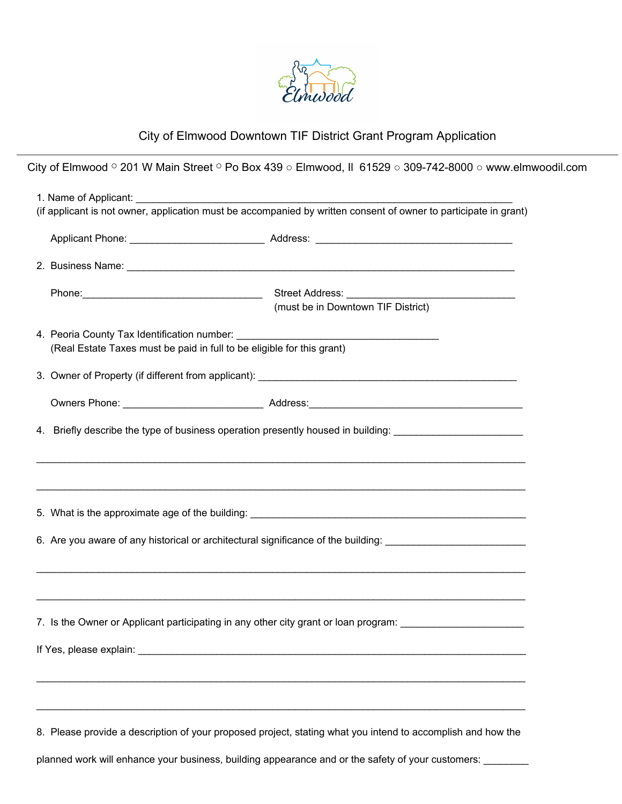

## City of Elmwood Downtown TIF District Grant Program Application

City of Elmwood ⚬ 201 W Main Street ⚬ Po Box 439 ○ Elmwood, Il 61529 ○ 309-742-8000 ○ www.elmwoodil.com

|                                                                                                                |                                                                                                                                                  | (if applicant is not owner, application must be accompanied by written consent of owner to participate in grant) |  |  |
|----------------------------------------------------------------------------------------------------------------|--------------------------------------------------------------------------------------------------------------------------------------------------|------------------------------------------------------------------------------------------------------------------|--|--|
|                                                                                                                |                                                                                                                                                  |                                                                                                                  |  |  |
|                                                                                                                |                                                                                                                                                  |                                                                                                                  |  |  |
|                                                                                                                |                                                                                                                                                  | Street Address: Street Address:<br>(must be in Downtown TIF District)                                            |  |  |
|                                                                                                                | (Real Estate Taxes must be paid in full to be eligible for this grant)                                                                           |                                                                                                                  |  |  |
|                                                                                                                |                                                                                                                                                  |                                                                                                                  |  |  |
|                                                                                                                |                                                                                                                                                  |                                                                                                                  |  |  |
| 4. Briefly describe the type of business operation presently housed in building: _________________________     |                                                                                                                                                  |                                                                                                                  |  |  |
|                                                                                                                |                                                                                                                                                  |                                                                                                                  |  |  |
| 6. Are you aware of any historical or architectural significance of the building: ____________________________ |                                                                                                                                                  |                                                                                                                  |  |  |
| 7. Is the Owner or Applicant participating in any other city grant or loan program: __________________________ |                                                                                                                                                  |                                                                                                                  |  |  |
|                                                                                                                | If Yes, please explain:<br><u> 1989 - Johann Harry Harry Harry Harry Harry Harry Harry Harry Harry Harry Harry Harry Harry Harry Harry Harry</u> |                                                                                                                  |  |  |
|                                                                                                                |                                                                                                                                                  | 8. Please provide a description of your proposed project, stating what you intend to accomplish and how the      |  |  |

planned work will enhance your business, building appearance and or the safety of your customers: \_\_\_\_\_\_\_\_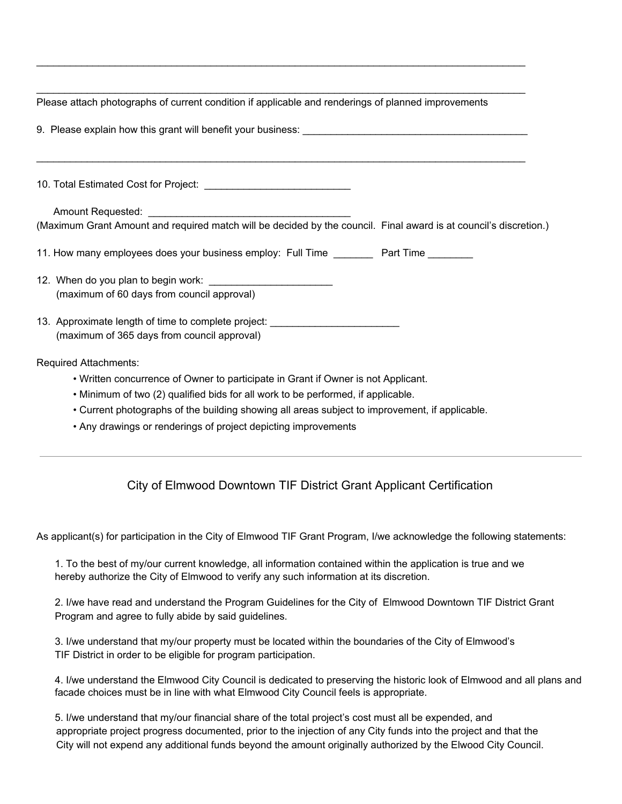| Please attach photographs of current condition if applicable and renderings of planned improvements                             |  |  |  |
|---------------------------------------------------------------------------------------------------------------------------------|--|--|--|
|                                                                                                                                 |  |  |  |
|                                                                                                                                 |  |  |  |
| (Maximum Grant Amount and required match will be decided by the council. Final award is at council's discretion.)               |  |  |  |
| 11. How many employees does your business employ: Full Time _________ Part Time ________                                        |  |  |  |
| (maximum of 60 days from council approval)                                                                                      |  |  |  |
| 13. Approximate length of time to complete project: ____________________________<br>(maximum of 365 days from council approval) |  |  |  |
| <b>Required Attachments:</b>                                                                                                    |  |  |  |
| • Written concurrence of Owner to participate in Grant if Owner is not Applicant.                                               |  |  |  |
| . Minimum of two (2) qualified bids for all work to be performed, if applicable.                                                |  |  |  |
| . Current photographs of the building showing all areas subject to improvement, if applicable.                                  |  |  |  |
| • Any drawings or renderings of project depicting improvements                                                                  |  |  |  |

 $\_$  ,  $\_$  ,  $\_$  ,  $\_$  ,  $\_$  ,  $\_$  ,  $\_$  ,  $\_$  ,  $\_$  ,  $\_$  ,  $\_$  ,  $\_$  ,  $\_$  ,  $\_$  ,  $\_$  ,  $\_$  ,  $\_$  ,  $\_$  ,  $\_$  ,  $\_$  ,  $\_$  ,  $\_$  ,  $\_$  ,  $\_$  ,  $\_$  ,  $\_$  ,  $\_$  ,  $\_$  ,  $\_$  ,  $\_$  ,  $\_$  ,  $\_$  ,  $\_$  ,  $\_$  ,  $\_$  ,  $\_$  ,  $\_$  ,

## City of Elmwood Downtown TIF District Grant Applicant Certification

As applicant(s) for participation in the City of Elmwood TIF Grant Program, I/we acknowledge the following statements:

1. To the best of my/our current knowledge, all information contained within the application is true and we hereby authorize the City of Elmwood to verify any such information at its discretion.

2. I/we have read and understand the Program Guidelines for the City of Elmwood Downtown TIF District Grant Program and agree to fully abide by said guidelines.

3. I/we understand that my/our property must be located within the boundaries of the City of Elmwood's TIF District in order to be eligible for program participation.

4. I/we understand the Elmwood City Council is dedicated to preserving the historic look of Elmwood and all plans and facade choices must be in line with what Elmwood City Council feels is appropriate.

5. I/we understand that my/our financial share of the total project's cost must all be expended, and appropriate project progress documented, prior to the injection of any City funds into the project and that the City will not expend any additional funds beyond the amount originally authorized by the Elwood City Council.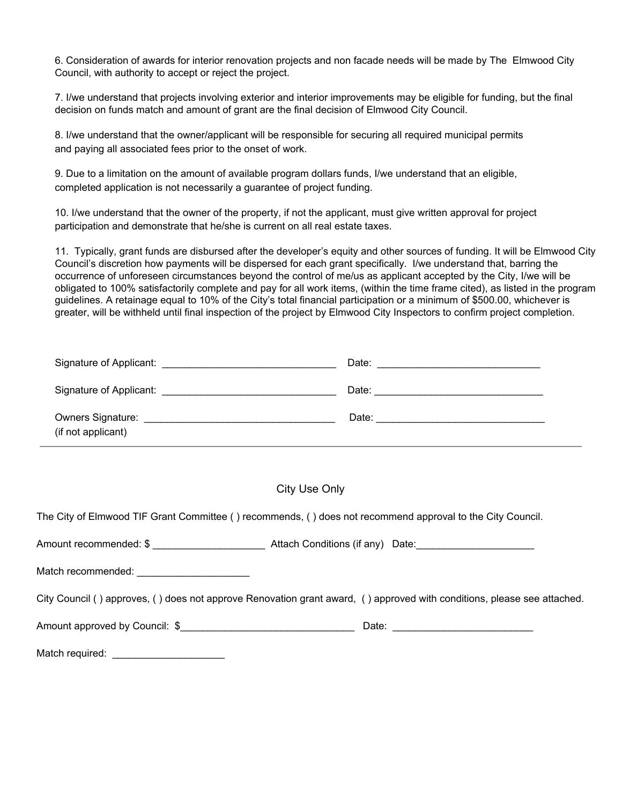6. Consideration of awards for interior renovation projects and non facade needs will be made by The Elmwood City Council, with authority to accept or reject the project.

7. I/we understand that projects involving exterior and interior improvements may be eligible for funding, but the final decision on funds match and amount of grant are the final decision of Elmwood City Council.

8. I/we understand that the owner/applicant will be responsible for securing all required municipal permits and paying all associated fees prior to the onset of work.

9. Due to a limitation on the amount of available program dollars funds, I/we understand that an eligible, completed application is not necessarily a guarantee of project funding.

10. I/we understand that the owner of the property, if not the applicant, must give written approval for project participation and demonstrate that he/she is current on all real estate taxes.

11. Typically, grant funds are disbursed after the developer's equity and other sources of funding. It will be Elmwood City Council's discretion how payments will be dispersed for each grant specifically. I/we understand that, barring the occurrence of unforeseen circumstances beyond the control of me/us as applicant accepted by the City, I/we will be obligated to 100% satisfactorily complete and pay for all work items, (within the time frame cited), as listed in the program guidelines. A retainage equal to 10% of the City's total financial participation or a minimum of \$500.00, whichever is greater, will be withheld until final inspection of the project by Elmwood City Inspectors to confirm project completion.

|                                                | Date: |
|------------------------------------------------|-------|
|                                                | Date: |
| <b>Owners Signature:</b><br>(if not applicant) | Date: |

## City Use Only

The City of Elmwood TIF Grant Committee ( ) recommends, ( ) does not recommend approval to the City Council.

Amount recommended: \$  $\bullet$  Attach Conditions (if any) Date:

Match recommended:

City Council ( ) approves, ( ) does not approve Renovation grant award, ( ) approved with conditions, please see attached.

Amount approved by Council: \$ <br>
and Date:  $\blacksquare$ 

Match required: \_\_\_\_\_\_\_\_\_\_\_\_\_\_\_\_\_\_\_\_